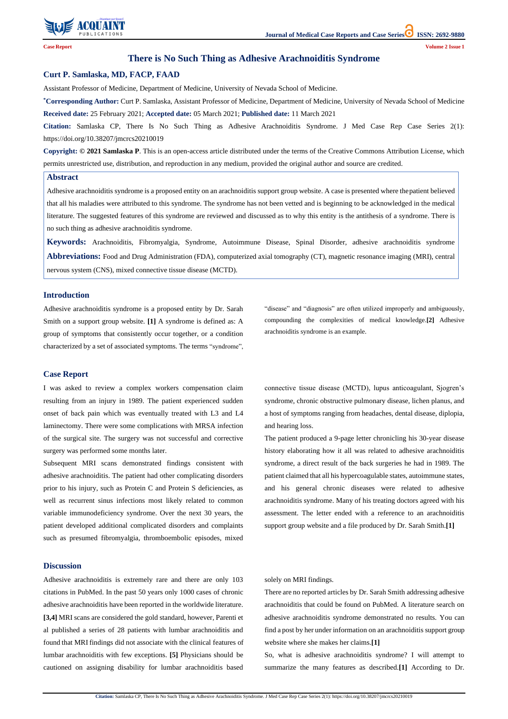

**Citation:** Samlaska CP, There Is No Such Thing as Adhesive Arachnoiditis Syndrome. J Med Case Rep Case Series 2(1): https://doi.org/10.38207/jmcrcs20210019

## **There is No Such Thing as Adhesive Arachnoiditis Syndrome**

### **Curt P. Samlaska, MD, FACP, FAAD**

Assistant Professor of Medicine, Department of Medicine, University of Nevada School of Medicine.

**\*Corresponding Author:** Curt P. Samlaska, Assistant Professor of Medicine, Department of Medicine, University of Nevada School of Medicine **Received date:** 25 February 2021; **Accepted date:** 05 March 2021; **Published date:** 11 March 2021

**Citation:** Samlaska CP, There Is No Such Thing as Adhesive Arachnoiditis Syndrome. J Med Case Rep Case Series 2(1): https://doi.org/10.38207/jmcrcs20210019

**Copyright: © 2021 Samlaska P**. This is an open-access article distributed under the terms of the Creative Commons Attribution License, which permits unrestricted use, distribution, and reproduction in any medium, provided the original author and source are credited.

#### **Abstract**

Adhesive arachnoiditis syndrome is a proposed entity on an arachnoiditis support group website. A case is presented where thepatient believed that all his maladies were attributed to this syndrome. The syndrome has not been vetted and is beginning to be acknowledged in the medical literature. The suggested features of this syndrome are reviewed and discussed as to why this entity is the antithesis of a syndrome. There is no such thing as adhesive arachnoiditis syndrome.

**Keywords:** Arachnoiditis, Fibromyalgia, Syndrome, Autoimmune Disease, Spinal Disorder, adhesive arachnoiditis syndrome **Abbreviations:** Food and Drug Administration (FDA), computerized axial tomography (CT), magnetic resonance imaging (MRI), central nervous system (CNS), mixed connective tissue disease (MCTD).

## **Introduction**

Adhesive arachnoiditis syndrome is a proposed entity by Dr. Sarah Smith on a support group website. **[1]** A syndrome is defined as: A group of symptoms that consistently occur together, or a condition characterized by a set of associated symptoms. The terms "syndrome", "disease" and "diagnosis" are often utilized improperly and ambiguously, compounding the complexities of medical knowledge.**[2]** Adhesive arachnoiditis syndrome is an example.

#### **Case Report**

I was asked to review a complex workers compensation claim resulting from an injury in 1989. The patient experienced sudden onset of back pain which was eventually treated with L3 and L4 laminectomy. There were some complications with MRSA infection of the surgical site. The surgery was not successful and corrective surgery was performed some months later.

Subsequent MRI scans demonstrated findings consistent with adhesive arachnoiditis. The patient had other complicating disorders prior to his injury, such as Protein C and Protein S deficiencies, as well as recurrent sinus infections most likely related to common variable immunodeficiency syndrome. Over the next 30 years, the patient developed additional complicated disorders and complaints such as presumed fibromyalgia, thromboembolic episodes, mixed connective tissue disease (MCTD), lupus anticoagulant, Sjogren's syndrome, chronic obstructive pulmonary disease, lichen planus, and a host of symptoms ranging from headaches, dental disease, diplopia, and hearing loss.

The patient produced a 9-page letter chronicling his 30-year disease history elaborating how it all was related to adhesive arachnoiditis syndrome, a direct result of the back surgeries he had in 1989. The patient claimed that all his hypercoagulable states, autoimmune states, and his general chronic diseases were related to adhesive arachnoiditis syndrome. Many of his treating doctors agreed with his assessment. The letter ended with a reference to an arachnoiditis support group website and a file produced by Dr. Sarah Smith.**[1]**

## **Discussion**

Adhesive arachnoiditis is extremely rare and there are only 103 citations in PubMed. In the past 50 years only 1000 cases of chronic adhesive arachnoiditis have been reported in the worldwide literature. **[3,4]** MRI scans are considered the gold standard, however, Parenti et al published a series of 28 patients with lumbar arachnoiditis and found that MRI findings did not associate with the clinical features of lumbar arachnoiditis with few exceptions. **[5]** Physicians should be cautioned on assigning disability for lumbar arachnoiditis based

### solely on MRI findings.

There are no reported articles by Dr. Sarah Smith addressing adhesive arachnoiditis that could be found on PubMed. A literature search on adhesive arachnoiditis syndrome demonstrated no results. You can find a post by her under information on an arachnoiditis support group website where she makes her claims.**[1]** So, what is adhesive arachnoiditis syndrome? I will attempt to summarize the many features as described.**[1]** According to Dr.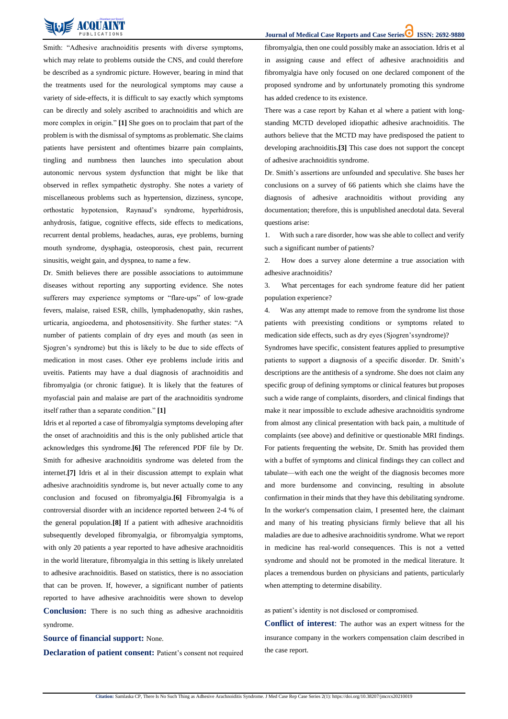**Journal of Medical Case Reports and Case Series ISSN: 2692-9880** 

**Citation:** Samlaska CP, There Is No Such Thing as Adhesive Arachnoiditis Syndrome. J Med Case Rep Case Series 2(1): https://doi.org/10.38207/jmcrcs20210019



Smith: "Adhesive arachnoiditis presents with diverse symptoms, which may relate to problems outside the CNS, and could therefore be described as a syndromic picture. However, bearing in mind that the treatments used for the neurological symptoms may cause a variety of side-effects, it is difficult to say exactly which symptoms can be directly and solely ascribed to arachnoiditis and which are more complex in origin." **[1]** She goes on to proclaim that part of the problem is with the dismissal of symptoms as problematic. She claims patients have persistent and oftentimes bizarre pain complaints, tingling and numbness then launches into speculation about autonomic nervous system dysfunction that might be like that observed in reflex sympathetic dystrophy. She notes a variety of miscellaneous problems such as hypertension, dizziness, syncope, orthostatic hypotension, Raynaud's syndrome, hyperhidrosis, anhydrosis, fatigue, cognitive effects, side effects to medications, recurrent dental problems, headaches, auras, eye problems, burning mouth syndrome, dysphagia, osteoporosis, chest pain, recurrent sinusitis, weight gain, and dyspnea, to name a few.

Dr. Smith believes there are possible associations to autoimmune diseases without reporting any supporting evidence. She notes sufferers may experience symptoms or "flare-ups" of low-grade fevers, malaise, raised ESR, chills, lymphadenopathy, skin rashes, urticaria, angioedema, and photosensitivity. She further states: "A number of patients complain of dry eyes and mouth (as seen in Sjogren's syndrome) but this is likely to be due to side effects of medication in most cases. Other eye problems include iritis and uveitis. Patients may have a dual diagnosis of arachnoiditis and fibromyalgia (or chronic fatigue). It is likely that the features of myofascial pain and malaise are part of the arachnoiditis syndrome itself rather than a separate condition." **[1]**

Idris et al reported a case of fibromyalgia symptoms developing after the onset of arachnoiditis and this is the only published article that acknowledges this syndrome.**[6]** The referenced PDF file by Dr. Smith for adhesive arachnoiditis syndrome was deleted from the internet.**[7]** Idris et al in their discussion attempt to explain what adhesive arachnoiditis syndrome is, but never actually come to any conclusion and focused on fibromyalgia.**[6]** Fibromyalgia is a controversial disorder with an incidence reported between 2-4 % of the general population.**[8]** If a patient with adhesive arachnoiditis subsequently developed fibromyalgia, or fibromyalgia symptoms,

with only 20 patients a year reported to have adhesive arachnoiditis in the world literature, fibromyalgia in this setting is likely unrelated to adhesive arachnoiditis. Based on statistics, there is no association that can be proven. If, however, a significant number of patients reported to have adhesive arachnoiditis were shown to develop **Conclusion:** There is no such thing as adhesive arachnoiditis syndrome.

fibromyalgia, then one could possibly make an association. Idris et al in assigning cause and effect of adhesive arachnoiditis and fibromyalgia have only focused on one declared component of the proposed syndrome and by unfortunately promoting this syndrome has added credence to its existence.

There was a case report by Kahan et al where a patient with longstanding MCTD developed idiopathic adhesive arachnoiditis. The authors believe that the MCTD may have predisposed the patient to developing arachnoiditis.**[3]** This case does not support the concept of adhesive arachnoiditis syndrome.

Dr. Smith's assertions are unfounded and speculative. She bases her conclusions on a survey of 66 patients which she claims have the diagnosis of adhesive arachnoiditis without providing any documentation; therefore, this is unpublished anecdotal data. Several questions arise:

1. With such a rare disorder, how was she able to collect and verify such a significant number of patients?

2. How does a survey alone determine a true association with adhesive arachnoiditis?

3. What percentages for each syndrome feature did her patient population experience?

4. Was any attempt made to remove from the syndrome list those patients with preexisting conditions or symptoms related to medication side effects, such as dry eyes (Sjogren'ssyndrome)?

Syndromes have specific, consistent features applied to presumptive patients to support a diagnosis of a specific disorder. Dr. Smith's descriptions are the antithesis of a syndrome. She does not claim any specific group of defining symptoms or clinical features but proposes such a wide range of complaints, disorders, and clinical findings that make it near impossible to exclude adhesive arachnoiditis syndrome from almost any clinical presentation with back pain, a multitude of complaints (see above) and definitive or questionable MRI findings. For patients frequenting the website, Dr. Smith has provided them with a buffet of symptoms and clinical findings they can collect and tabulate—with each one the weight of the diagnosis becomes more and more burdensome and convincing, resulting in absolute confirmation in their minds that they have this debilitating syndrome. In the worker's compensation claim, I presented here, the claimant and many of his treating physicians firmly believe that all his maladies are due to adhesive arachnoiditis syndrome. What we report

in medicine has real-world consequences. This is not a vetted syndrome and should not be promoted in the medical literature. It places a tremendous burden on physicians and patients, particularly when attempting to determine disability.

# **Source of financial support:** None.

**Declaration of patient consent:** Patient's consent not required

as patient's identity is not disclosed or compromised. **Conflict of interest**: The author was an expert witness for the insurance company in the workers compensation claim described in the case report.